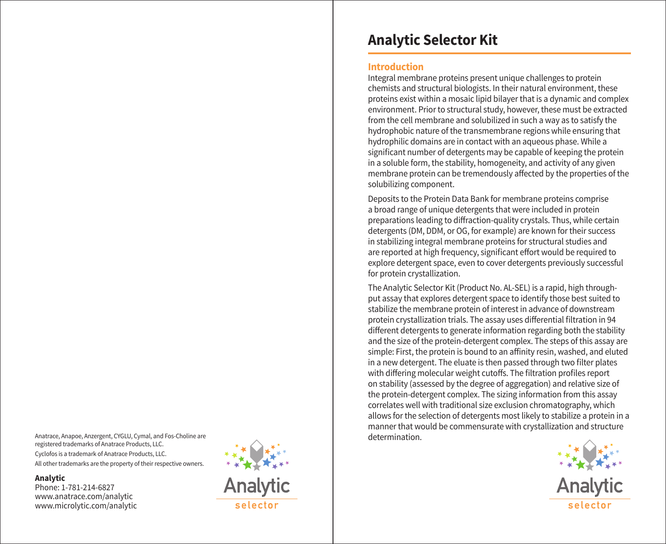#### Anatrace, Anapoe, Anzergent, CYGLU, Cymal, and Fos-Choline are registered trademarks of Anatrace Products, LLC. Cyclofos is a trademark of Anatrace Products, LLC. All other trademarks are the property of their respective owners.

#### **Analytic**

Phone: 1-781-214-6827 www.anatrace.com/analytic www.microlytic.com/analytic



# **Analytic Selector Kit**

## **Introduction**

Integral membrane proteins present unique challenges to protein chemists and structural biologists. In their natural environment, these proteins exist within a mosaic lipid bilayer that is a dynamic and complex environment. Prior to structural study, however, these must be extracted from the cell membrane and solubilized in such a way as to satisfy the hydrophobic nature of the transmembrane regions while ensuring that hydrophilic domains are in contact with an aqueous phase. While a significant number of detergents may be capable of keeping the protein in a soluble form, the stability, homogeneity, and activity of any given membrane protein can be tremendously affected by the properties of the solubilizing component.

Deposits to the Protein Data Bank for membrane proteins comprise a broad range of unique detergents that were included in protein preparations leading to diffraction-quality crystals. Thus, while certain detergents (DM, DDM, or OG, for example) are known for their success in stabilizing integral membrane proteins for structural studies and are reported at high frequency, significant effort would be required to explore detergent space, even to cover detergents previously successful for protein crystallization.

The Analytic Selector Kit (Product No. AL-SEL) is a rapid, high through put assay that explores detergent space to identify those best suited to stabilize the membrane protein of interest in advance of downstream protein crystallization trials. The assay uses differential filtration in 94 different detergents to generate information regarding both the stability and the size of the protein-detergent complex. The steps of this assay are simple: First, the protein is bound to an affinity resin, washed, and eluted in a new detergent. The eluate is then passed through two filter plates with differing molecular weight cutoffs. The filtration profiles report on stability (assessed by the degree of aggregation) and relative size of the protein-detergent complex. The sizing information from this assay correlates well with traditional size exclusion chromatography, which allows for the selection of detergents most likely to stabilize a protein in a manner that would be commensurate with crystallization and structure determination.

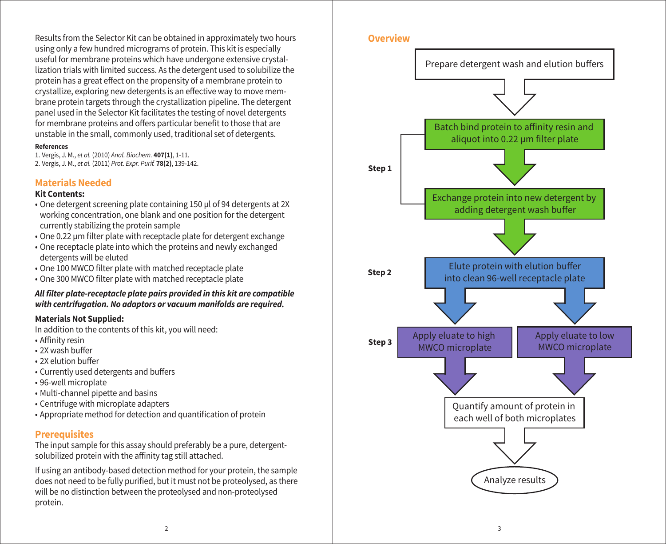Results from the Selector Kit can be obtained in approximately two hours **Overview** using only a few hundred micrograms of protein. This kit is especially useful for membrane proteins which have undergone extensive crystallization trials with limited success. As the detergent used to solubilize the protein has a great effect on the propensity of a membrane protein to crystallize, exploring new detergents is an effective way to move membrane protein targets through the crystallization pipeline. The detergent panel used in the Selector Kit facilitates the testing of novel detergents for membrane proteins and offers particular benefit to those that are unstable in the small, commonly used, traditional set of detergents.

#### **References**

1. Vergis, J. M., et al. (2010) Anal. Biochem. **407(1)**, 1-11. 2. Vergis, J. M., et al. (2011) Prot. Expr. Purif. **78(2)**, 139-142.

### **Materials Needed**

#### **Kit Contents:**

- One detergent screening plate containing 150 µl of 94 detergents at 2X working concentration, one blank and one position for the detergent currently stabilizing the protein sample
- One 0.22 µm filter plate with receptacle plate for detergent exchange
- One receptacle plate into which the proteins and newly exchanged detergents will be eluted
- One 100 MWCO filter plate with matched receptacle plate
- One 300 MWCO filter plate with matched receptacle plate

#### **All filter plate-receptacle plate pairs provided in this kit are compatible with centrifugation. No adaptors or vacuum manifolds are required.**

#### **Materials Not Supplied:**

In addition to the contents of this kit, you will need:

- Affinity resin
- 2X wash buffer
- 2X elution buffer
- Currently used detergents and buffers
- 96-well microplate
- Multi-channel pipette and basins
- Centrifuge with microplate adapters
- Appropriate method for detection and quantification of protein

## **Prerequisites**

The input sample for this assay should preferably be a pure, detergentsolubilized protein with the affinity tag still attached.

If using an antibody-based detection method for your protein, the sample does not need to be fully purified, but it must not be proteolysed, as there will be no distinction between the proteolysed and non-proteolysed protein.



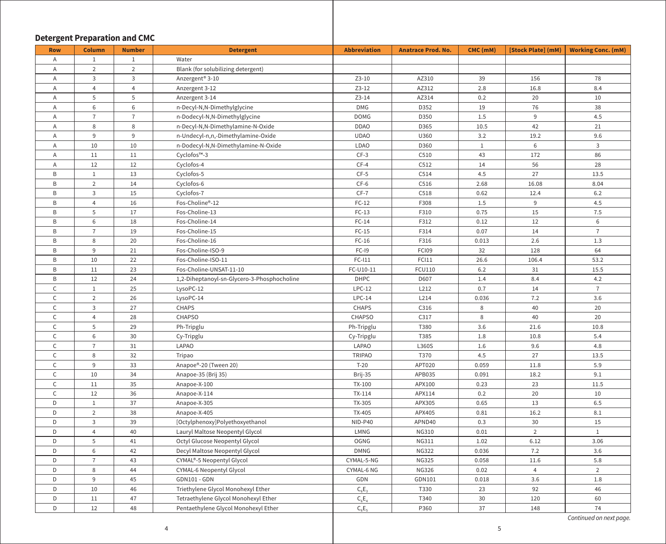# **Detergent Preparation and CMC**

| <b>Row</b>     | <b>Column</b>  | <b>Number</b>  | <b>Detergent</b>                            | <b>Abbreviation</b>        | <b>Anatrace Prod. No.</b> | CMC (mM) | [Stock Plate] (mM) | <b>Working Conc. (mM)</b> |
|----------------|----------------|----------------|---------------------------------------------|----------------------------|---------------------------|----------|--------------------|---------------------------|
| A              | $\mathbf{1}$   | $1\,$          | Water                                       |                            |                           |          |                    |                           |
| A              | $\overline{2}$ | $\overline{2}$ | Blank (for solubilizing detergent)          |                            |                           |          |                    |                           |
| A              | $\mathbf{3}$   | $\mathsf 3$    | Anzergent <sup>®</sup> 3-10                 | $Z3-10$                    | AZ310                     | 39       | 156                | 78                        |
| Α              | $\overline{4}$ | $\overline{4}$ | Anzergent 3-12                              | $Z3-12$                    | AZ312                     | 2.8      | 16.8               | 8.4                       |
| A              | 5              | 5              | Anzergent 3-14                              | $Z3-14$                    | AZ314                     | 0.2      | 20                 | 10                        |
| Α              | 6              | 6              | n-Decyl-N,N-Dimethylglycine                 | <b>DMG</b>                 | D352                      | 19       | 76                 | 38                        |
| Α              | $\bf 7$        | $\bf 7$        | n-Dodecyl-N,N-Dimethylglycine               | <b>DOMG</b>                | D350                      | 1.5      | 9                  | 4.5                       |
| A              | 8              | 8              | n-Decyl-N,N-Dimethylamine-N-Oxide           | <b>DDAO</b>                | D365                      | 10.5     | 42                 | 21                        |
| A              | 9              | 9              | n-Undecyl-n,n,-Dimethylamine-Oxide          | <b>UDAO</b>                | U360                      | 3.2      | 19.2               | 9.6                       |
| Α              | 10             | 10             | n-Dodecyl-N,N-Dimethylamine-N-Oxide         | LDAO                       | D360                      | $\,1$    | 6                  | $\mathbf{3}$              |
| A              | 11             | 11             | Cyclofos™-3                                 | $CF-3$                     | C510                      | 43       | 172                | 86                        |
| $\overline{A}$ | 12             | 12             | Cyclofos-4                                  | $CF-4$                     | C512                      | 14       | 56                 | 28                        |
| $\mathsf B$    | $1\,$          | 13             | Cyclofos-5                                  | $CF-5$                     | C514                      | 4.5      | 27                 | 13.5                      |
| B              | $\overline{2}$ | 14             | Cyclofos-6                                  | $CF-6$                     | C516                      | 2.68     | 16.08              | 8.04                      |
| B              | $\overline{3}$ | 15             | Cyclofos-7                                  | $CF-7$                     | C518                      | 0.62     | 12.4               | 6.2                       |
| $\sf B$        | $\overline{4}$ | 16             | Fos-Choline®-12                             | $FC-12$                    | F308                      | 1.5      | 9                  | 4.5                       |
| B              | 5              | 17             | Fos-Choline-13                              | $FC-13$                    | F310                      | 0.75     | 15                 | 7.5                       |
| B              | 6              | 18             | Fos-Choline-14                              | $FC-14$                    | F312                      | 0.12     | 12                 | $\,6\,$                   |
| B              | $\overline{7}$ | 19             | Fos-Choline-15                              | $FC-15$                    | F314                      | 0.07     | 14                 | $\overline{7}$            |
| B              | 8              | 20             | Fos-Choline-16                              | $FC-16$                    | F316                      | 0.013    | 2.6                | 1.3                       |
| B              | 9              | 21             | Fos-Choline-ISO-9                           | $FC-I9$                    | <b>FCI09</b>              | 32       | 128                | 64                        |
| B              | 10             | 22             | Fos-Choline-ISO-11                          | $FC-I11$                   | <b>FCI11</b>              | 26.6     | 106.4              | 53.2                      |
| B              | 11             | 23             | Fos-Choline-UNSAT-11-10                     | FC-U10-11                  | FCU110                    | 6.2      | 31                 | 15.5                      |
| B              | 12             | 24             | 1,2-Diheptanoyl-sn-Glycero-3-Phosphocholine | <b>DHPC</b>                | D607                      | 1.4      | 8.4                | 4.2                       |
| $\mathsf C$    | $1\,$          | 25             | LysoPC-12                                   | $LPC-12$                   | L212                      | 0.7      | 14                 | $\overline{7}$            |
| $\mathsf C$    | $\overline{2}$ | 26             | LysoPC-14                                   | $LPC-14$                   | L214                      | 0.036    | 7.2                | 3.6                       |
| $\mathsf C$    | 3              | 27             | <b>CHAPS</b>                                | CHAPS                      | C316                      | 8        | 40                 | 20                        |
| $\mathsf C$    | $\overline{4}$ | 28             | CHAPSO                                      | CHAPSO                     | C317                      | 8        | 40                 | 20                        |
| $\mathsf{C}$   | 5              | 29             | Ph-Tripglu                                  | Ph-Tripglu                 | T380                      | 3.6      | 21.6               | 10.8                      |
| $\mathsf C$    | 6              | 30             | Cy-Tripglu                                  | Cy-Tripglu                 | T385                      | 1.8      | 10.8               | 5.4                       |
| $\mathsf C$    | $\overline{7}$ | 31             | LAPAO                                       | LAPAO                      | L360S                     | 1.6      | 9.6                | 4.8                       |
| $\mathsf{C}$   | 8              | 32             | Tripao                                      | <b>TRIPAO</b>              | T370                      | 4.5      | 27                 | 13.5                      |
| $\mathsf{C}$   | 9              | 33             | Anapoe®-20 (Tween 20)                       | $T-20$                     | APT020                    | 0.059    | 11.8               | 5.9                       |
| $\mathsf C$    | 10             | 34             | Anapoe-35 (Brij 35)                         | Brij-35                    | APB035                    | 0.091    | 18.2               | 9.1                       |
| $\mathsf C$    | 11             | 35             | Anapoe-X-100                                | TX-100                     | APX100                    | 0.23     | 23                 | 11.5                      |
| $\mathsf C$    | 12             | 36             | Anapoe-X-114                                | $TX-114$                   | APX114                    | 0.2      | 20                 | 10                        |
| D              | $1\,$          | 37             | Anapoe-X-305                                | TX-305                     | APX305                    | 0.65     | 13                 | 6.5                       |
| D              | $\overline{2}$ | 38             | Anapoe-X-405                                | TX-405                     | APX405                    | 0.81     | 16.2               | 8.1                       |
| D              | $\mathbf{3}$   | 39             | [Octylphenoxy]Polyethoxyethanol             | NID-P40                    | APND40                    | 0.3      | 30                 | 15                        |
| D              | $\overline{4}$ | 40             | Lauryl Maltose Neopentyl Glycol             | LMNG                       | NG310                     | 0.01     | 2                  | $1\,$                     |
| D              | 5              | 41             | Octyl Glucose Neopentyl Glycol              | OGNG                       | NG311                     | 1.02     | 6.12               | 3.06                      |
| D              | 6              | 42             | Decyl Maltose Neopentyl Glycol              | <b>DMNG</b>                | <b>NG322</b>              | 0.036    | 7.2                | 3.6                       |
| D              | $\overline{7}$ | 43             | CYMAL®-5 Neopentyl Glycol                   | CYMAL-5-NG                 | <b>NG325</b>              | 0.058    | 11.6               | 5.8                       |
| D              | 8              | 44             | CYMAL-6 Neopentyl Glycol                    | CYMAL-6 NG                 | <b>NG326</b>              | 0.02     | $\overline{4}$     | $\overline{2}$            |
| D              | $\overline{9}$ | 45             | GDN101 - GDN                                | GDN                        | GDN101                    | 0.018    | 3.6                | 1.8                       |
| D              | 10             | 46             | Triethylene Glycol Monohexyl Ether          | $C_6E_3$                   | T330                      | 23       | 92                 | 46                        |
| D              | 11             | 47             | Tetraethylene Glycol Monohexyl Ether        | $\mathsf{C}_6\mathsf{E}_4$ | T340                      | 30       | 120                | 60                        |
| D              | 12             | 48             | Pentaethylene Glycol Monohexyl Ether        | $C_6E_5$                   | P360                      | 37       | 148                | 74                        |

Continued on next page.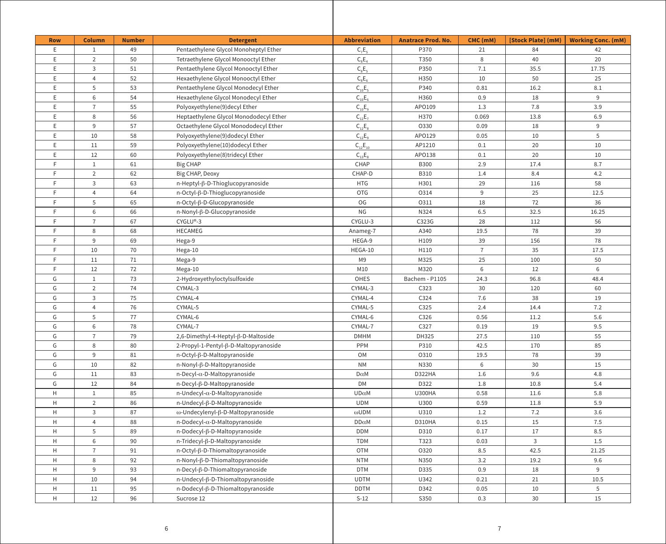| <b>Row</b>   | Column         | <b>Number</b> | <b>Detergent</b>                       | <b>Abbreviation</b>           | <b>Anatrace Prod. No.</b> | CMC (mM)       | [Stock Plate] (mM) | <b>Working Conc. (mM)</b> |
|--------------|----------------|---------------|----------------------------------------|-------------------------------|---------------------------|----------------|--------------------|---------------------------|
| E            | $\mathbf{1}$   | 49            | Pentaethylene Glycol Monoheptyl Ether  | $C_7E_5$                      | P370                      | 21             | 84                 | 42                        |
| E            | $\overline{2}$ | 50            | Tetraethylene Glycol Monooctyl Ether   | $C_8E_4$                      | T350                      | 8              | 40                 | 20                        |
| E            | $\overline{3}$ | 51            | Pentaethylene Glycol Monooctyl Ether   | C <sub>e</sub> E <sub>e</sub> | P350                      | 7.1            | 35.5               | 17.75                     |
| E            | $\overline{4}$ | 52            | Hexaethylene Glycol Monooctyl Ether    | $C_{8}E_{6}$                  | H350                      | 10             | 50                 | 25                        |
| E            | 5              | 53            | Pentaethylene Glycol Monodecyl Ether   | $C_{10}E_{5}$                 | P340                      | 0.81           | 16.2               | 8.1                       |
| Ε            | 6              | 54            | Hexaethylene Glycol Monodecyl Ether    | $C_{10}E_6$                   | H360                      | 0.9            | 18                 | 9                         |
| Ε            | $\overline{7}$ | 55            | Polyoxyethylene(9)decyl Ether          | $C_{10}E_{9}$                 | APO109                    | 1.3            | 7.8                | 3.9                       |
| Ε            | 8              | 56            | Heptaethylene Glycol Monododecyl Ether | $C_{12}E_7$                   | H370                      | 0.069          | 13.8               | 6.9                       |
| Ε            | $\,9$          | 57            | Octaethylene Glycol Monododecyl Ether  | $C_{12}E_8$                   | 0330                      | 0.09           | 18                 | 9                         |
| $\mathsf E$  | 10             | 58            | Polyoxyethylene(9)dodecyl Ether        | $C_{12}E_{9}$                 | APO129                    | 0.05           | 10                 | $\overline{5}$            |
| E            | 11             | 59            | Polyoxyethylene(10)dodecyl Ether       | $C_{12}E_{10}$                | AP1210                    | 0.1            | 20                 | 10                        |
| E            | 12             | 60            | Polyoxyethylene(8)tridecyl Ether       | $C_{12}E_8$                   | AP0138                    | 0.1            | 20                 | 10                        |
| $\mathsf F$  | $\mathbf{1}$   | 61            | <b>Big CHAP</b>                        | CHAP                          | <b>B300</b>               | 2.9            | 17.4               | 8.7                       |
| $\mathsf F$  | $\overline{2}$ | 62            | Big CHAP, Deoxy                        | CHAP-D                        | B310                      | 1.4            | 8.4                | 4.2                       |
| F            | 3              | 63            | n-Heptyl-β-D-Thioglucopyranoside       | <b>HTG</b>                    | H301                      | 29             | 116                | 58                        |
| F            | 4              | 64            | n-Octyl-β-D-Thioglucopyranoside        | <b>OTG</b>                    | 0314                      | 9              | 25                 | 12.5                      |
| $\mathsf F$  | 5              | 65            | n-Octyl-β-D-Glucopyranoside            | OG                            | 0311                      | 18             | 72                 | 36                        |
| F            | 6              | 66            | n-Nonyl-β-D-Glucopyranoside            | <b>NG</b>                     | N324                      | 6.5            | 32.5               | 16.25                     |
| $\mathsf F$  | $\overline{7}$ | 67            | CYGLU®-3                               | CYGLU-3                       | C323G                     | 28             | 112                | 56                        |
| F            | 8              | 68            | HECAMEG                                | Anameg-7                      | A340                      | 19.5           | 78                 | 39                        |
| F            | $\overline{9}$ | 69            | Hega-9                                 | HEGA-9                        | H109                      | 39             | 156                | 78                        |
| F            | 10             | 70            | Hega-10                                | HEGA-10                       | H110                      | $\overline{7}$ | 35                 | 17.5                      |
| F            | 11             | 71            | Mega-9                                 | M <sub>9</sub>                | M325                      | 25             | 100                | 50                        |
| F            | 12             | 72            | Mega-10                                | M10                           | M320                      | 6              | 12                 | 6                         |
| G            | $\mathbf{1}$   | 73            | 2-Hydroxyethyloctylsulfoxide           | OHES                          | Bachem - P1105            | 24.3           | 96.8               | 48.4                      |
| G            | $\overline{2}$ | 74            | CYMAL-3                                | CYMAL-3                       | C323                      | 30             | 120                | 60                        |
| G            | $\mathsf 3$    | 75            | CYMAL-4                                | CYMAL-4                       | C324                      | 7.6            | 38                 | 19                        |
| G            | $\overline{4}$ | 76            | CYMAL-5                                | CYMAL-5                       | C325                      | 2.4            | 14.4               | 7.2                       |
| G            | $\sqrt{5}$     | 77            | CYMAL-6                                | CYMAL-6                       | C326                      | 0.56           | 11.2               | 5.6                       |
| G            | 6              | 78            | CYMAL-7                                | CYMAL-7                       | C327                      | 0.19           | 19                 | 9.5                       |
| G            | $\overline{7}$ | 79            | 2,6-Dimethyl-4-Heptyl-β-D-Maltoside    | <b>DMHM</b>                   | DH325                     | 27.5           | 110                | 55                        |
| G            | 8              | 80            | 2-Propyl-1-Pentyl-β-D-Maltopyranoside  | PPM                           | P310                      | 42.5           | 170                | 85                        |
| G            | 9              | 81            | n-Octyl-β-D-Maltopyranoside            | OM                            | 0310                      | 19.5           | 78                 | 39                        |
| G            | 10             | 82            | n-Nonyl-β-D-Maltopyranoside            | <b>NM</b>                     | N330                      | 6              | 30                 | 15                        |
| G            | 11             | 83            | n-Decyl-α-D-Maltopyranoside            | $D\alpha M$                   | D322HA                    | 1.6            | 9.6                | 4.8                       |
| G            | 12             | 84            | n-Decyl-β-D-Maltopyranoside            | <b>DM</b>                     | D322                      | 1.8            | 10.8               | 5.4                       |
| H            | $\mathbf{1}$   | 85            | n-Undecyl-α-D-Maltopyranoside          | $UD\alpha M$                  | <b>U300HA</b>             | 0.58           | 11.6               | 5.8                       |
| $\mathsf{H}$ | $\overline{2}$ | 86            | n-Undecyl-β-D-Maltopyranoside          | <b>UDM</b>                    | U300                      | 0.59           | 11.8               | 5.9                       |
| H            | $\overline{3}$ | 87            | ω-Undecylenyl-β-D-Maltopyranoside      | ωUDM                          | U310                      | 1.2            | 7.2                | 3.6                       |
| H            | $\overline{4}$ | 88            | n-Dodecyl-α-D-Maltopyranoside          | $DD\alpha M$                  | D310HA                    | 0.15           | 15                 | 7.5                       |
| H            | 5              | 89            | n-Dodecyl-β-D-Maltopyranoside          | <b>DDM</b>                    | D310                      | 0.17           | 17                 | 8.5                       |
| H            | 6              | 90            | n-Tridecyl-β-D-Maltopyranoside         | <b>TDM</b>                    | T323                      | 0.03           | $\overline{3}$     | 1.5                       |
| H            | $\overline{7}$ | 91            | n-Octyl-β-D-Thiomaltopyranoside        | <b>OTM</b>                    | 0320                      | 8.5            | 42.5               | 21.25                     |
| H            | 8              | 92            | n-Nonyl-β-D-Thiomaltopyranoside        | <b>NTM</b>                    | N350                      | 3.2            | 19.2               | 9.6                       |
| $\mathsf H$  | 9              | 93            | n-Decyl-β-D-Thiomaltopyranoside        | <b>DTM</b>                    | D335                      | 0.9            | 18                 | 9                         |
| $\mathsf H$  | 10             | 94            | n-Undecyl-β-D-Thiomaltopyranoside      | <b>UDTM</b>                   | U342                      | 0.21           | 21                 | 10.5                      |
| Н            | 11             | 95            | n-Dodecyl-β-D-Thiomaltopyranoside      | <b>DDTM</b>                   | D342                      | 0.05           | 10                 | 5                         |
| Н            | 12             | 96            | Sucrose 12                             | $S-12$                        | S350                      | 0.3            | 30                 | 15                        |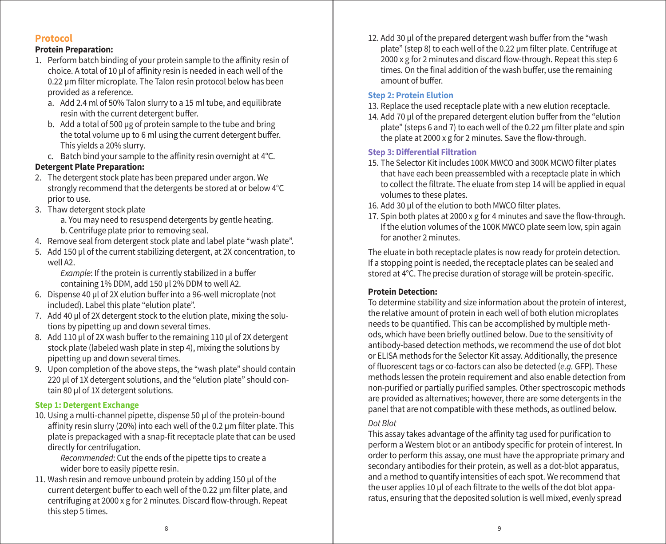## **Protocol**

## **Protein Preparation:**

- 1. Perform batch binding of your protein sample to the affinity resin of choice. A total of 10 µl of affinity resin is needed in each well of the 0.22 µm filter microplate. The Talon resin protocol below has been provided as a reference.
	- a. Add 2.4 ml of 50% Talon slurry to a 15 ml tube, and equilibrate resin with the current detergent buffer.
	- b. Add a total of 500 µg of protein sample to the tube and bring the total volume up to 6 ml using the current detergent buffer. This yields a 20% slurry.
	- c. Batch bind your sample to the affinity resin overnight at 4°C.

## **Detergent Plate Preparation:**

- 2. The detergent stock plate has been prepared under argon. We strongly recommend that the detergents be stored at or below 4°C prior to use.
- 3. Thaw detergent stock plate
	- a. You may need to resuspend detergents by gentle heating. b. Centrifuge plate prior to removing seal.
- 4. Remove seal from detergent stock plate and label plate "wash plate".
- 5. Add 150 µl of the current stabilizing detergent, at 2X concentration, to well A2.

Example: If the protein is currently stabilized in a buffer containing 1% DDM, add 150 µl 2% DDM to well A2.

- 6. Dispense 40 µl of 2X elution buffer into a 96-well microplate (not included). Label this plate "elution plate".
- 7. Add 40 µl of 2X detergent stock to the elution plate, mixing the solutions by pipetting up and down several times.
- 8. Add 110 µl of 2X wash buffer to the remaining 110 µl of 2X detergent stock plate (labeled wash plate in step 4), mixing the solutions by pipetting up and down several times.
- 9. Upon completion of the above steps, the "wash plate" should contain 220 µl of 1X detergent solutions, and the "elution plate" should contain 80 µl of 1X detergent solutions.

## **Step 1: Detergent Exchange**

10. Using a multi-channel pipette, dispense 50 µl of the protein-bound affinity resin slurry (20%) into each well of the 0.2 µm filter plate. This plate is prepackaged with a snap-fit receptacle plate that can be used directly for centrifugation.

Recommended: Cut the ends of the pipette tips to create a wider bore to easily pipette resin.

11. Wash resin and remove unbound protein by adding 150 µl of the current detergent buffer to each well of the 0.22 µm filter plate, and centrifuging at 2000 x g for 2 minutes. Discard flow-through. Repeat this step 5 times.

12. Add 30 µl of the prepared detergent wash buffer from the "wash plate" (step 8) to each well of the 0.22 µm filter plate. Centrifuge at 2000 x g for 2 minutes and discard flow-through. Repeat this step 6 times. On the final addition of the wash buffer, use the remaining amount of buffer.

## **Step 2: Protein Elution**

- 13. Replace the used receptacle plate with a new elution receptacle.
- 14. Add 70 µl of the prepared detergent elution buffer from the "elution plate" (steps 6 and 7) to each well of the 0.22 µm filter plate and spin the plate at 2000 x g for 2 minutes. Save the flow-through.

# **Step 3: Differential Filtration**

- 15. The Selector Kit includes 100K MWCO and 300K MCWO filter plates that have each been preassembled with a receptacle plate in which to collect the filtrate. The eluate from step 14 will be applied in equal volumes to these plates.
- 16. Add 30 µl of the elution to both MWCO filter plates.
- 17. Spin both plates at 2000 x g for 4 minutes and save the flow-through. If the elution volumes of the 100K MWCO plate seem low, spin again for another 2 minutes.

The eluate in both receptacle plates is now ready for protein detection. If a stopping point is needed, the receptacle plates can be sealed and stored at 4°C. The precise duration of storage will be protein-specific.

# **Protein Detection:**

To determine stability and size information about the protein of interest, the relative amount of protein in each well of both elution microplates needs to be quantified. This can be accomplished by multiple methods, which have been briefly outlined below. Due to the sensitivity of antibody-based detection methods, we recommend the use of dot blot or ELISA methods for the Selector Kit assay. Additionally, the presence of fluorescent tags or co-factors can also be detected (e.g. GFP). These methods lessen the protein requirement and also enable detection from non-purified or partially purified samples. Other spectroscopic methods are provided as alternatives; however, there are some detergents in the panel that are not compatible with these methods, as outlined below.

## Dot Blot

This assay takes advantage of the affinity tag used for purification to perform a Western blot or an antibody specific for protein of interest. In order to perform this assay, one must have the appropriate primary and secondary antibodies for their protein, as well as a dot-blot apparatus, and a method to quantify intensities of each spot. We recommend that the user applies 10 μl of each filtrate to the wells of the dot blot apparatus, ensuring that the deposited solution is well mixed, evenly spread